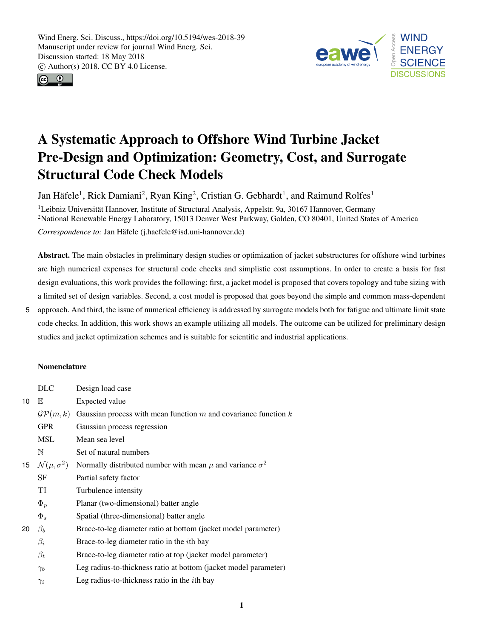



# A Systematic Approach to Offshore Wind Turbine Jacket Pre-Design and Optimization: Geometry, Cost, and Surrogate Structural Code Check Models

Jan Häfele<sup>1</sup>, Rick Damiani<sup>2</sup>, Ryan King<sup>2</sup>, Cristian G. Gebhardt<sup>1</sup>, and Raimund Rolfes<sup>1</sup>

<sup>1</sup>Leibniz Universität Hannover, Institute of Structural Analysis, Appelstr. 9a, 30167 Hannover, Germany <sup>2</sup>National Renewable Energy Laboratory, 15013 Denver West Parkway, Golden, CO 80401, United States of America *Correspondence to:* Jan Häfele (j.haefele@isd.uni-hannover.de)

Abstract. The main obstacles in preliminary design studies or optimization of jacket substructures for offshore wind turbines are high numerical expenses for structural code checks and simplistic cost assumptions. In order to create a basis for fast design evaluations, this work provides the following: first, a jacket model is proposed that covers topology and tube sizing with a limited set of design variables. Second, a cost model is proposed that goes beyond the simple and common mass-dependent

5 approach. And third, the issue of numerical efficiency is addressed by surrogate models both for fatigue and ultimate limit state code checks. In addition, this work shows an example utilizing all models. The outcome can be utilized for preliminary design studies and jacket optimization schemes and is suitable for scientific and industrial applications.

# Nomenclature

|    | <b>DLC</b>                   | Design load case                                                    |
|----|------------------------------|---------------------------------------------------------------------|
| 10 | E                            | Expected value                                                      |
|    | $\mathcal{GP}(m,k)$          | Gaussian process with mean function $m$ and covariance function $k$ |
|    | <b>GPR</b>                   | Gaussian process regression                                         |
|    | <b>MSL</b>                   | Mean sea level                                                      |
|    | N                            | Set of natural numbers                                              |
| 15 | $\mathcal{N}(\mu, \sigma^2)$ | Normally distributed number with mean $\mu$ and variance $\sigma^2$ |
|    | SF                           | Partial safety factor                                               |
|    | TI                           | Turbulence intensity                                                |
|    | $\Phi_p$                     | Planar (two-dimensional) batter angle                               |
|    | $\Phi_s$                     | Spatial (three-dimensional) batter angle                            |
| 20 | $\beta_b$                    | Brace-to-leg diameter ratio at bottom (jacket model parameter)      |
|    | $\beta_i$                    | Brace-to-leg diameter ratio in the <i>i</i> th bay                  |
|    | $\beta_t$                    | Brace-to-leg diameter ratio at top (jacket model parameter)         |
|    | $\gamma_b$                   | Leg radius-to-thickness ratio at bottom (jacket model parameter)    |
|    | $\gamma_i$                   | Leg radius-to-thickness ratio in the <i>i</i> th bay                |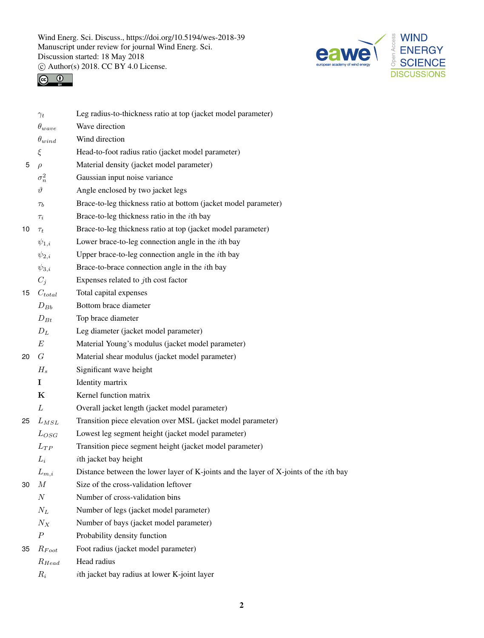



|    | $\gamma_t$        | Leg radius-to-thickness ratio at top (jacket model parameter)                                 |
|----|-------------------|-----------------------------------------------------------------------------------------------|
|    | $\theta_{wave}$   | Wave direction                                                                                |
|    | $\theta_{wind}$   | Wind direction                                                                                |
|    | ξ                 | Head-to-foot radius ratio (jacket model parameter)                                            |
| 5  | $\rho$            | Material density (jacket model parameter)                                                     |
|    | $\sigma_n^2$      | Gaussian input noise variance                                                                 |
|    | $\vartheta$       | Angle enclosed by two jacket legs                                                             |
|    | $\tau_b$          | Brace-to-leg thickness ratio at bottom (jacket model parameter)                               |
|    | $\tau_i$          | Brace-to-leg thickness ratio in the <i>i</i> th bay                                           |
| 10 | $\tau_t$          | Brace-to-leg thickness ratio at top (jacket model parameter)                                  |
|    | $\psi_{1,i}$      | Lower brace-to-leg connection angle in the <i>i</i> th bay                                    |
|    | $\psi_{2,i}$      | Upper brace-to-leg connection angle in the <i>i</i> th bay                                    |
|    | $\psi_{3,i}$      | Brace-to-brace connection angle in the <i>i</i> th bay                                        |
|    | $C_i$             | Expenses related to $j$ th cost factor                                                        |
| 15 | $C_{total}$       | Total capital expenses                                                                        |
|    | $D_{Bb}$          | Bottom brace diameter                                                                         |
|    | $D_{Bt}$          | Top brace diameter                                                                            |
|    | $D_L$             | Leg diameter (jacket model parameter)                                                         |
|    | $E\,$             | Material Young's modulus (jacket model parameter)                                             |
| 20 | G                 | Material shear modulus (jacket model parameter)                                               |
|    | $H_s$             | Significant wave height                                                                       |
|    | I                 | Identity martrix                                                                              |
|    | K                 | Kernel function matrix                                                                        |
|    | L                 | Overall jacket length (jacket model parameter)                                                |
| 25 | $L_{MSL}$         | Transition piece elevation over MSL (jacket model parameter)                                  |
|    | $L_{OSG}$         | Lowest leg segment height (jacket model parameter)                                            |
|    | $L_{TP}$          | Transition piece segment height (jacket model parameter)                                      |
|    | $L_i$             | <i>i</i> th jacket bay height                                                                 |
|    | ${\cal L}_{m,i}$  | Distance between the lower layer of K-joints and the layer of X-joints of the <i>i</i> th bay |
| 30 | $\boldsymbol{M}$  | Size of the cross-validation leftover                                                         |
|    | $\cal N$          | Number of cross-validation bins                                                               |
|    | $N_L$             | Number of legs (jacket model parameter)                                                       |
|    | $N_X$             | Number of bays (jacket model parameter)                                                       |
|    | $\boldsymbol{P}$  | Probability density function                                                                  |
| 35 | $R_{\text{Foot}}$ | Foot radius (jacket model parameter)                                                          |
|    | $R_{Head}$        | Head radius                                                                                   |
|    | $R_i$             | ith jacket bay radius at lower K-joint layer                                                  |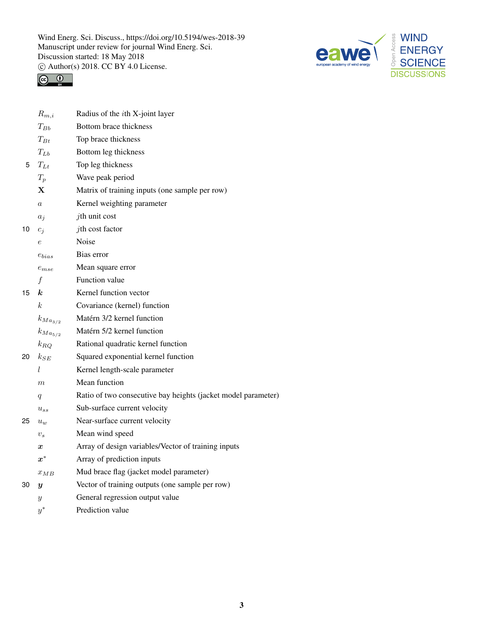



|    | $R_{m,i}$          | Radius of the <i>i</i> th X-joint layer                       |
|----|--------------------|---------------------------------------------------------------|
|    | $T_{Bb}$           | Bottom brace thickness                                        |
|    | $T_{Bt}$           | Top brace thickness                                           |
|    | $T_{Lb}$           | Bottom leg thickness                                          |
| 5  | $T_{Lt}$           | Top leg thickness                                             |
|    | $T_p$              | Wave peak period                                              |
|    | X                  | Matrix of training inputs (one sample per row)                |
|    | $\it a$            | Kernel weighting parameter                                    |
|    | $a_j$              | $j$ th unit cost                                              |
| 10 | $c_i$              | jth cost factor                                               |
|    | $\,e\,$            | <b>Noise</b>                                                  |
|    | $e_{bias}$         | Bias error                                                    |
|    | $e_{mse}$          | Mean square error                                             |
|    | f                  | Function value                                                |
| 15 | k.                 | Kernel function vector                                        |
|    | k                  | Covariance (kernel) function                                  |
|    | $k_{Ma_{3/2}}$     | Matérn 3/2 kernel function                                    |
|    | $k_{Ma_{5/2}}$     | Matérn 5/2 kernel function                                    |
|    | $k_{RO}$           | Rational quadratic kernel function                            |
| 20 | $k_{SE}$           | Squared exponential kernel function                           |
|    | l                  | Kernel length-scale parameter                                 |
|    | $\boldsymbol{m}$   | Mean function                                                 |
|    | $\boldsymbol{q}$   | Ratio of two consecutive bay heights (jacket model parameter) |
|    | $u_{ss}$           | Sub-surface current velocity                                  |
| 25 | $u_{w}$            | Near-surface current velocity                                 |
|    | $v_s$              | Mean wind speed                                               |
|    | $\boldsymbol{x}$   | Array of design variables/Vector of training inputs           |
|    | $\boldsymbol{x}^*$ | Array of prediction inputs                                    |
|    | $x_{MB}$           | Mud brace flag (jacket model parameter)                       |
| 30 | $\boldsymbol{y}$   | Vector of training outputs (one sample per row)               |
|    | Y                  | General regression output value                               |
|    | $y^*$              | Prediction value                                              |
|    |                    |                                                               |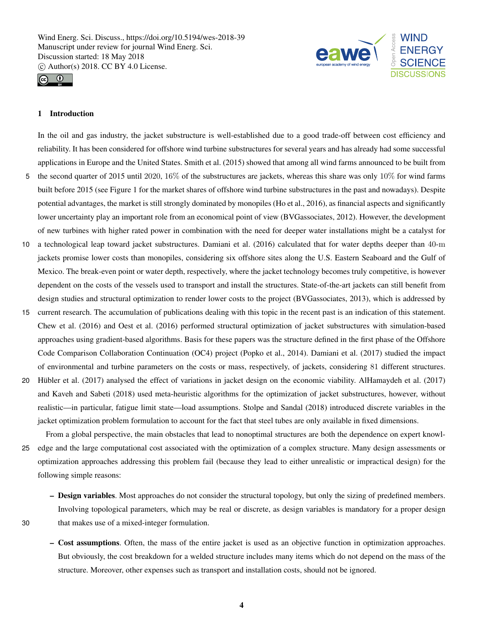



## 1 Introduction

In the oil and gas industry, the jacket substructure is well-established due to a good trade-off between cost efficiency and reliability. It has been considered for offshore wind turbine substructures for several years and has already had some successful applications in Europe and the United States. Smith et al. (2015) showed that among all wind farms announced to be built from 5 the second quarter of 2015 until 2020, 16% of the substructures are jackets, whereas this share was only 10% for wind farms built before 2015 (see Figure 1 for the market shares of offshore wind turbine substructures in the past and nowadays). Despite potential advantages, the market is still strongly dominated by monopiles (Ho et al., 2016), as financial aspects and significantly

lower uncertainty play an important role from an economical point of view (BVGassociates, 2012). However, the development of new turbines with higher rated power in combination with the need for deeper water installations might be a catalyst for 10 a technological leap toward jacket substructures. Damiani et al. (2016) calculated that for water depths deeper than 40-m jackets promise lower costs than monopiles, considering six offshore sites along the U.S. Eastern Seaboard and the Gulf of

- Mexico. The break-even point or water depth, respectively, where the jacket technology becomes truly competitive, is however dependent on the costs of the vessels used to transport and install the structures. State-of-the-art jackets can still benefit from design studies and structural optimization to render lower costs to the project (BVGassociates, 2013), which is addressed by
- 15 current research. The accumulation of publications dealing with this topic in the recent past is an indication of this statement. Chew et al. (2016) and Oest et al. (2016) performed structural optimization of jacket substructures with simulation-based approaches using gradient-based algorithms. Basis for these papers was the structure defined in the first phase of the Offshore Code Comparison Collaboration Continuation (OC4) project (Popko et al., 2014). Damiani et al. (2017) studied the impact of environmental and turbine parameters on the costs or mass, respectively, of jackets, considering 81 different structures.
- 20 Hübler et al. (2017) analysed the effect of variations in jacket design on the economic viability. AlHamaydeh et al. (2017) and Kaveh and Sabeti (2018) used meta-heuristic algorithms for the optimization of jacket substructures, however, without realistic—in particular, fatigue limit state—load assumptions. Stolpe and Sandal (2018) introduced discrete variables in the jacket optimization problem formulation to account for the fact that steel tubes are only available in fixed dimensions.

From a global perspective, the main obstacles that lead to nonoptimal structures are both the dependence on expert knowl-25 edge and the large computational cost associated with the optimization of a complex structure. Many design assessments or optimization approaches addressing this problem fail (because they lead to either unrealistic or impractical design) for the following simple reasons:

– Design variables. Most approaches do not consider the structural topology, but only the sizing of predefined members. Involving topological parameters, which may be real or discrete, as design variables is mandatory for a proper design 30 that makes use of a mixed-integer formulation.

– Cost assumptions. Often, the mass of the entire jacket is used as an objective function in optimization approaches. But obviously, the cost breakdown for a welded structure includes many items which do not depend on the mass of the structure. Moreover, other expenses such as transport and installation costs, should not be ignored.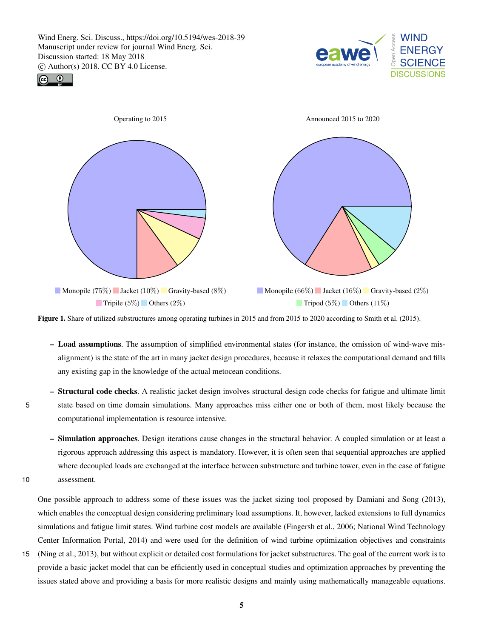





Figure 1. Share of utilized substructures among operating turbines in 2015 and from 2015 to 2020 according to Smith et al. (2015).

- Load assumptions. The assumption of simplified environmental states (for instance, the omission of wind-wave misalignment) is the state of the art in many jacket design procedures, because it relaxes the computational demand and fills any existing gap in the knowledge of the actual metocean conditions.
- Structural code checks. A realistic jacket design involves structural design code checks for fatigue and ultimate limit 5 state based on time domain simulations. Many approaches miss either one or both of them, most likely because the computational implementation is resource intensive.
- Simulation approaches. Design iterations cause changes in the structural behavior. A coupled simulation or at least a rigorous approach addressing this aspect is mandatory. However, it is often seen that sequential approaches are applied where decoupled loads are exchanged at the interface between substructure and turbine tower, even in the case of fatigue 10 assessment.

One possible approach to address some of these issues was the jacket sizing tool proposed by Damiani and Song (2013), which enables the conceptual design considering preliminary load assumptions. It, however, lacked extensions to full dynamics simulations and fatigue limit states. Wind turbine cost models are available (Fingersh et al., 2006; National Wind Technology Center Information Portal, 2014) and were used for the definition of wind turbine optimization objectives and constraints

15 (Ning et al., 2013), but without explicit or detailed cost formulations for jacket substructures. The goal of the current work is to provide a basic jacket model that can be efficiently used in conceptual studies and optimization approaches by preventing the issues stated above and providing a basis for more realistic designs and mainly using mathematically manageable equations.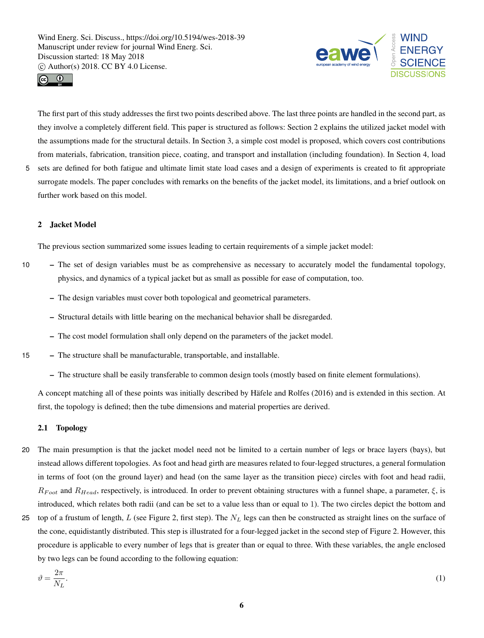



The first part of this study addresses the first two points described above. The last three points are handled in the second part, as they involve a completely different field. This paper is structured as follows: Section 2 explains the utilized jacket model with the assumptions made for the structural details. In Section 3, a simple cost model is proposed, which covers cost contributions from materials, fabrication, transition piece, coating, and transport and installation (including foundation). In Section 4, load

5 sets are defined for both fatigue and ultimate limit state load cases and a design of experiments is created to fit appropriate surrogate models. The paper concludes with remarks on the benefits of the jacket model, its limitations, and a brief outlook on further work based on this model.

### 2 Jacket Model

The previous section summarized some issues leading to certain requirements of a simple jacket model:

- 10 The set of design variables must be as comprehensive as necessary to accurately model the fundamental topology, physics, and dynamics of a typical jacket but as small as possible for ease of computation, too.
	- The design variables must cover both topological and geometrical parameters.
	- Structural details with little bearing on the mechanical behavior shall be disregarded.
	- The cost model formulation shall only depend on the parameters of the jacket model.
- 15 The structure shall be manufacturable, transportable, and installable.
	- The structure shall be easily transferable to common design tools (mostly based on finite element formulations).

A concept matching all of these points was initially described by Häfele and Rolfes (2016) and is extended in this section. At first, the topology is defined; then the tube dimensions and material properties are derived.

# 2.1 Topology

- 20 The main presumption is that the jacket model need not be limited to a certain number of legs or brace layers (bays), but instead allows different topologies. As foot and head girth are measures related to four-legged structures, a general formulation in terms of foot (on the ground layer) and head (on the same layer as the transition piece) circles with foot and head radii,  $R_{Food}$  and  $R_{Head}$ , respectively, is introduced. In order to prevent obtaining structures with a funnel shape, a parameter,  $\xi$ , is introduced, which relates both radii (and can be set to a value less than or equal to 1). The two circles depict the bottom and
- 25 top of a frustum of length, L (see Figure 2, first step). The  $N_L$  legs can then be constructed as straight lines on the surface of the cone, equidistantly distributed. This step is illustrated for a four-legged jacket in the second step of Figure 2. However, this procedure is applicable to every number of legs that is greater than or equal to three. With these variables, the angle enclosed by two legs can be found according to the following equation:

$$
\vartheta = \frac{2\pi}{N_L}.\tag{1}
$$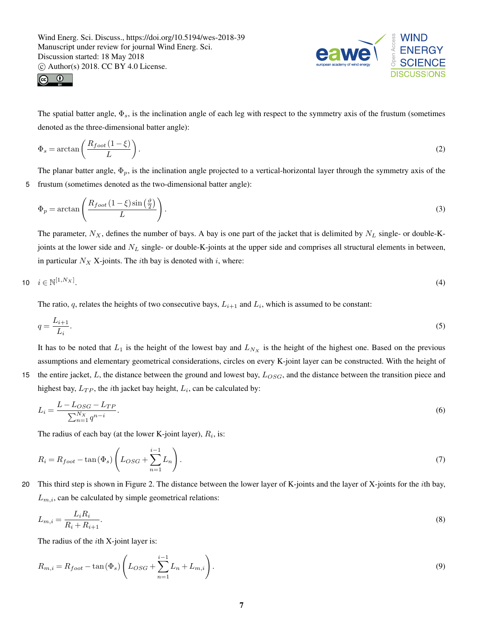



The spatial batter angle,  $\Phi_s$ , is the inclination angle of each leg with respect to the symmetry axis of the frustum (sometimes denoted as the three-dimensional batter angle):

$$
\Phi_s = \arctan\left(\frac{R_{foot}(1-\xi)}{L}\right). \tag{2}
$$

The planar batter angle,  $\Phi_p$ , is the inclination angle projected to a vertical-horizontal layer through the symmetry axis of the 5 frustum (sometimes denoted as the two-dimensional batter angle):

$$
\Phi_p = \arctan\left(\frac{R_{foot}(1-\xi)\sin\left(\frac{\vartheta}{2}\right)}{L}\right). \tag{3}
$$

The parameter,  $N_X$ , defines the number of bays. A bay is one part of the jacket that is delimited by  $N_L$  single- or double-Kjoints at the lower side and  $N_L$  single- or double-K-joints at the upper side and comprises all structural elements in between, in particular  $N_X$  X-joints. The *i*th bay is denoted with *i*, where:

$$
i \in \mathbb{N}^{\left[1,N_X\right]}.\tag{4}
$$

The ratio, q, relates the heights of two consecutive bays,  $L_{i+1}$  and  $L_i$ , which is assumed to be constant:

$$
q = \frac{L_{i+1}}{L_i}.\tag{5}
$$

It has to be noted that  $L_1$  is the height of the lowest bay and  $L_{N_x}$  is the height of the highest one. Based on the previous assumptions and elementary geometrical considerations, circles on every K-joint layer can be constructed. With the height of

15 the entire jacket,  $L$ , the distance between the ground and lowest bay,  $L_{OSG}$ , and the distance between the transition piece and highest bay,  $L_{TP}$ , the *i*th jacket bay height,  $L_i$ , can be calculated by:

$$
L_i = \frac{L - L_{OSG} - L_{TP}}{\sum_{n=1}^{N_X} q^{n-i}}.
$$
\n(6)

The radius of each bay (at the lower K-joint layer),  $R_i$ , is:

$$
R_i = R_{foot} - \tan(\Phi_s) \left( L_{OSG} + \sum_{n=1}^{i-1} L_n \right). \tag{7}
$$

20 This third step is shown in Figure 2. The distance between the lower layer of K-joints and the layer of X-joints for the ith bay,  $L_{m,i}$ , can be calculated by simple geometrical relations:

$$
L_{m,i} = \frac{L_i R_i}{R_i + R_{i+1}}.\tag{8}
$$

The radius of the ith X-joint layer is:

$$
R_{m,i} = R_{foot} - \tan(\Phi_s) \left( L_{OSG} + \sum_{n=1}^{i-1} L_n + L_{m,i} \right). \tag{9}
$$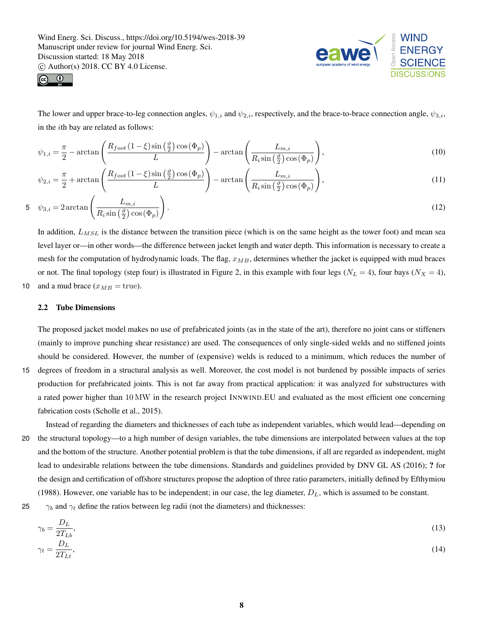



The lower and upper brace-to-leg connection angles,  $\psi_{1,i}$  and  $\psi_{2,i}$ , respectively, and the brace-to-brace connection angle,  $\psi_{3,i}$ , in the ith bay are related as follows:

$$
\psi_{1,i} = \frac{\pi}{2} - \arctan\left(\frac{R_{foot}(1-\xi)\sin\left(\frac{\vartheta}{2}\right)\cos\left(\Phi_p\right)}{L}\right) - \arctan\left(\frac{L_{m,i}}{R_i\sin\left(\frac{\vartheta}{2}\right)\cos\left(\Phi_p\right)}\right),\tag{10}
$$

$$
\psi_{2,i} = \frac{\pi}{2} + \arctan\left(\frac{R_{foot}(1-\xi)\sin\left(\frac{\vartheta}{2}\right)\cos\left(\Phi_p\right)}{L}\right) - \arctan\left(\frac{L_{m,i}}{R_i\sin\left(\frac{\vartheta}{2}\right)\cos\left(\Phi_p\right)}\right),\tag{11}
$$

$$
5 \quad \psi_{3,i} = 2 \arctan\left(\frac{L_{m,i}}{R_i \sin\left(\frac{\vartheta}{2}\right) \cos\left(\Phi_p\right)}\right). \tag{12}
$$

In addition,  $L_{MSL}$  is the distance between the transition piece (which is on the same height as the tower foot) and mean sea level layer or—in other words—the difference between jacket length and water depth. This information is necessary to create a mesh for the computation of hydrodynamic loads. The flag,  $x_{MB}$ , determines whether the jacket is equipped with mud braces or not. The final topology (step four) is illustrated in Figure 2, in this example with four legs ( $N_L = 4$ ), four bays ( $N_X = 4$ ), 10 and a mud brace  $(x_{MB} = \text{true})$ .

#### 2.2 Tube Dimensions

The proposed jacket model makes no use of prefabricated joints (as in the state of the art), therefore no joint cans or stiffeners (mainly to improve punching shear resistance) are used. The consequences of only single-sided welds and no stiffened joints should be considered. However, the number of (expensive) welds is reduced to a minimum, which reduces the number of

- 15 degrees of freedom in a structural analysis as well. Moreover, the cost model is not burdened by possible impacts of series production for prefabricated joints. This is not far away from practical application: it was analyzed for substructures with a rated power higher than 10 MW in the research project INNWIND.EU and evaluated as the most efficient one concerning fabrication costs (Scholle et al., 2015).
- Instead of regarding the diameters and thicknesses of each tube as independent variables, which would lead—depending on 20 the structural topology—to a high number of design variables, the tube dimensions are interpolated between values at the top and the bottom of the structure. Another potential problem is that the tube dimensions, if all are regarded as independent, might lead to undesirable relations between the tube dimensions. Standards and guidelines provided by DNV GL AS (2016); ? for the design and certification of offshore structures propose the adoption of three ratio parameters, initially defined by Efthymiou (1988). However, one variable has to be independent; in our case, the leg diameter,  $D<sub>L</sub>$ , which is assumed to be constant.

25  $\gamma_b$  and  $\gamma_t$  define the ratios between leg radii (not the diameters) and thicknesses:

$$
\gamma_b = \frac{D_L}{2T_{Lb}},
$$
  
\n
$$
\gamma_t = \frac{D_L}{2T_{Lt}},
$$
\n(13)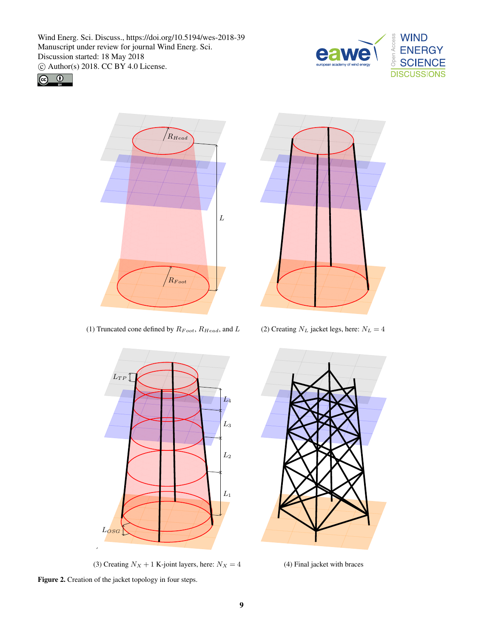







(1) Truncated cone defined by  $R_{Foot}$ ,  $R_{Head}$ , and L (2) Creating  $N_L$  jacket legs, here:  $N_L = 4$ 





(3) Creating  $N_X + 1$  K-joint layers, here:  $N_X = 4$  (4) Final jacket with braces



Figure 2. Creation of the jacket topology in four steps.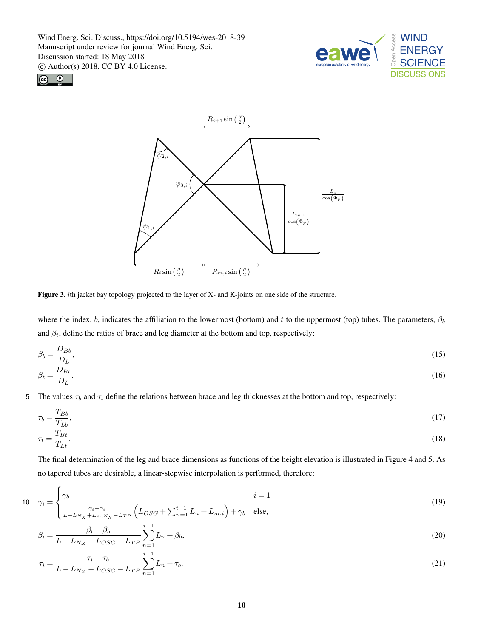



 $\overline{ }$ 



Figure 3. ith jacket bay topology projected to the layer of X- and K-joints on one side of the structure.

where the index, b, indicates the affiliation to the lowermost (bottom) and t to the uppermost (top) tubes. The parameters,  $\beta_b$ and  $\beta_t$ , define the ratios of brace and leg diameter at the bottom and top, respectively:

$$
\beta_b = \frac{D_{Bb}}{D_L},\tag{15}
$$

$$
\beta_t = \frac{D_{Bt}}{D_L}.\tag{16}
$$

5 The values  $\tau_b$  and  $\tau_t$  define the relations between brace and leg thicknesses at the bottom and top, respectively:

$$
\tau_b = \frac{T_{Bb}}{T_{Lb}},\tag{17}
$$
\n
$$
\tau = \frac{T_{Bt}}{T_{Bt}}
$$
\n
$$
(18)
$$

$$
\tau_t = \frac{H_t}{T_{Lt}}.\tag{18}
$$

The final determination of the leg and brace dimensions as functions of the height elevation is illustrated in Figure 4 and 5. As no tapered tubes are desirable, a linear-stepwise interpolation is performed, therefore:

10 
$$
\gamma_i = \begin{cases} \gamma_b & i = 1 \\ \frac{\gamma_t - \gamma_b}{L - L_{N_X} + L_{m, N_X} - L_{TP}} \left( L_{OSG} + \sum_{n=1}^{i-1} L_n + L_{m,i} \right) + \gamma_b & \text{else,} \end{cases}
$$
(19)

$$
\beta_i = \frac{\beta_t - \beta_b}{L - L_{N_X} - L_{OSG} - L_{TP}} \sum_{n=1}^{i-1} L_n + \beta_b,
$$
\n(20)

$$
\tau_i = \frac{\tau_t - \tau_b}{L - L_{N_X} - L_{OSG} - L_{TP}} \sum_{n=1}^{i-1} L_n + \tau_b.
$$
\n(21)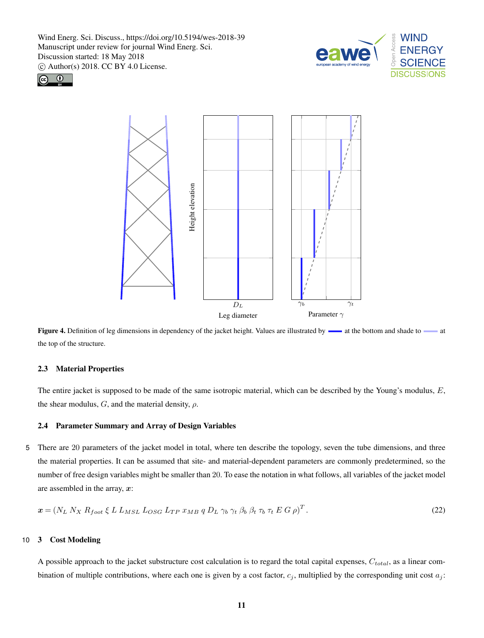





Figure 4. Definition of leg dimensions in dependency of the jacket height. Values are illustrated by  $\rightarrow$  at the bottom and shade to  $\rightarrow$  at the top of the structure.

### 2.3 Material Properties

The entire jacket is supposed to be made of the same isotropic material, which can be described by the Young's modulus, E, the shear modulus,  $G$ , and the material density,  $\rho$ .

#### 2.4 Parameter Summary and Array of Design Variables

5 There are 20 parameters of the jacket model in total, where ten describe the topology, seven the tube dimensions, and three the material properties. It can be assumed that site- and material-dependent parameters are commonly predetermined, so the number of free design variables might be smaller than 20. To ease the notation in what follows, all variables of the jacket model are assembled in the array,  $x$ :

$$
\boldsymbol{x} = \left(N_L N_X R_{foot} \xi L L_{MSL} L_{OSG} L_{TP} x_{MB} q D_L \gamma_b \gamma_t \beta_b \beta_t \tau_b \tau_t E G \rho\right)^T. \tag{22}
$$

## 10 3 Cost Modeling

A possible approach to the jacket substructure cost calculation is to regard the total capital expenses,  $C_{total}$ , as a linear combination of multiple contributions, where each one is given by a cost factor,  $c_j$ , multiplied by the corresponding unit cost  $a_j$ :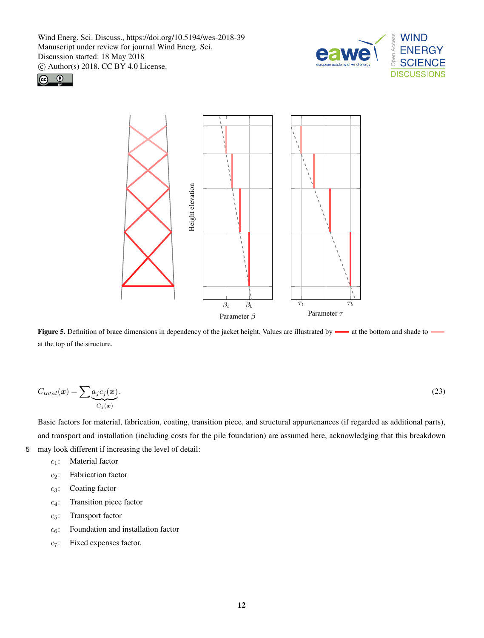





Figure 5. Definition of brace dimensions in dependency of the jacket height. Values are illustrated by  $\longrightarrow$  at the bottom and shade to at the top of the structure.

$$
C_{total}(\boldsymbol{x}) = \sum_{i} \underbrace{a_i c_j(\boldsymbol{x})}_{C_j(\boldsymbol{x})}.
$$
\n(23)

Basic factors for material, fabrication, coating, transition piece, and structural appurtenances (if regarded as additional parts), and transport and installation (including costs for the pile foundation) are assumed here, acknowledging that this breakdown 5 may look different if increasing the level of detail:

- $c_1$ : Material factor
- c2: Fabrication factor
- $c_3$ : Coating factor
- c4: Transition piece factor
- c5: Transport factor
- $c_6$ : Foundation and installation factor
- $c_7$ : Fixed expenses factor.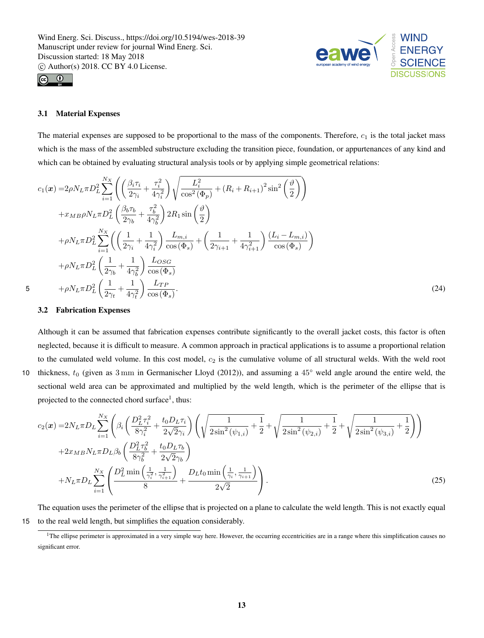



### 3.1 Material Expenses

The material expenses are supposed to be proportional to the mass of the components. Therefore,  $c_1$  is the total jacket mass which is the mass of the assembled substructure excluding the transition piece, foundation, or appurtenances of any kind and which can be obtained by evaluating structural analysis tools or by applying simple geometrical relations:

$$
c_{1}(\boldsymbol{x}) = 2\rho N_{L}\pi D_{L}^{2} \sum_{i=1}^{N_{X}} \left( \left( \frac{\beta_{i}\tau_{i}}{2\gamma_{i}} + \frac{\tau_{i}^{2}}{4\gamma_{i}^{2}} \right) \sqrt{\frac{L_{i}^{2}}{\cos^{2}(\Phi_{p})} + (R_{i} + R_{i+1})^{2} \sin^{2}(\frac{\vartheta}{2})} \right) + x_{MB}\rho N_{L}\pi D_{L}^{2} \left( \frac{\beta_{b}\tau_{b}}{2\gamma_{b}} + \frac{\tau_{b}^{2}}{4\gamma_{b}^{2}} \right) 2R_{1} \sin(\frac{\vartheta}{2}) + \rho N_{L}\pi D_{L}^{2} \sum_{i=1}^{N_{X}} \left( \left( \frac{1}{2\gamma_{i}} + \frac{1}{4\gamma_{i}^{2}} \right) \frac{L_{m,i}}{\cos(\Phi_{s})} + \left( \frac{1}{2\gamma_{i+1}} + \frac{1}{4\gamma_{i+1}^{2}} \right) \frac{(L_{i} - L_{m,i})}{\cos(\Phi_{s})} \right) + \rho N_{L}\pi D_{L}^{2} \left( \frac{1}{2\gamma_{b}} + \frac{1}{4\gamma_{b}^{2}} \right) \frac{L_{OSG}}{\cos(\Phi_{s})} + \rho N_{L}\pi D_{L}^{2} \left( \frac{1}{2\gamma_{t}} + \frac{1}{4\gamma_{t}^{2}} \right) \frac{L_{TP}}{\cos(\Phi_{s})}.
$$
\n(24)

## 3.2 Fabrication Expenses

Although it can be assumed that fabrication expenses contribute significantly to the overall jacket costs, this factor is often neglected, because it is difficult to measure. A common approach in practical applications is to assume a proportional relation to the cumulated weld volume. In this cost model,  $c_2$  is the cumulative volume of all structural welds. With the weld root 10 thickness,  $t_0$  (given as  $3 \text{ mm}$  in Germanischer Lloyd (2012)), and assuming a  $45^{\circ}$  weld angle around the entire weld, the sectional weld area can be approximated and multiplied by the weld length, which is the perimeter of the ellipse that is projected to the connected chord surface<sup>1</sup>, thus:

$$
c_{2}(\boldsymbol{x}) = 2N_{L}\pi D_{L} \sum_{i=1}^{N_{X}} \left( \beta_{i} \left( \frac{D_{L}^{2} \tau_{i}^{2}}{8\gamma_{i}^{2}} + \frac{t_{0}D_{L}\tau_{i}}{2\sqrt{2}\gamma_{i}} \right) \left( \sqrt{\frac{1}{2\sin^{2}(\psi_{1,i})}} + \frac{1}{2} + \sqrt{\frac{1}{2\sin^{2}(\psi_{2,i})}} + \frac{1}{2} + \sqrt{\frac{1}{2\sin^{2}(\psi_{3,i})}} + \frac{1}{2} \right) \right)
$$
  
+2 $x_{MB}N_{L}\pi D_{L}\beta_{b} \left( \frac{D_{L}^{2} \tau_{b}^{2}}{8\gamma_{b}^{2}} + \frac{t_{0}D_{L}\tau_{b}}{2\sqrt{2}\gamma_{b}} \right)$   
+ $N_{L}\pi D_{L} \sum_{i=1}^{N_{X}} \left( \frac{D_{L}^{2} \min\left(\frac{1}{\gamma_{i}^{2}}, \frac{1}{\gamma_{i+1}^{2}}\right)}{8} + \frac{D_{L}t_{0} \min\left(\frac{1}{\gamma_{i}}, \frac{1}{\gamma_{i+1}}\right)}{2\sqrt{2}} \right).$  (25)

The equation uses the perimeter of the ellipse that is projected on a plane to calculate the weld length. This is not exactly equal 15 to the real weld length, but simplifies the equation considerably.

<sup>&</sup>lt;sup>1</sup>The ellipse perimeter is approximated in a very simple way here. However, the occurring eccentricities are in a range where this simplification causes no significant error.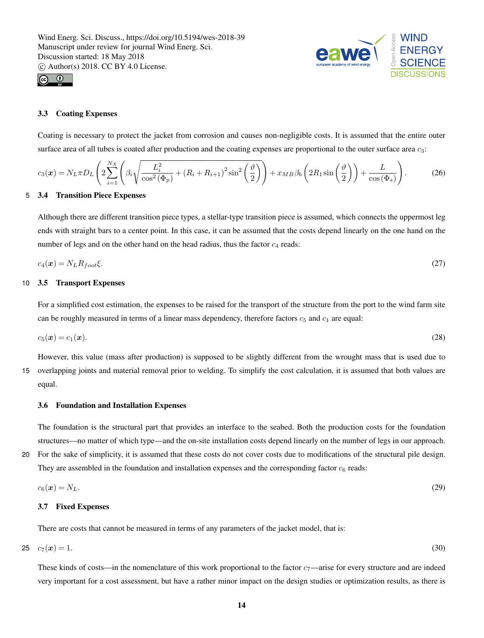



## 3.3 Coating Expenses

Coating is necessary to protect the jacket from corrosion and causes non-negligible costs. It is assumed that the entire outer surface area of all tubes is coated after production and the coating expenses are proportional to the outer surface area  $c_3$ :

$$
c_3(\boldsymbol{x}) = N_L \pi D_L \left( 2 \sum_{i=1}^{N_X} \left( \beta_i \sqrt{\frac{L_i^2}{\cos^2(\Phi_p)} + (R_i + R_{i+1})^2 \sin^2\left(\frac{\vartheta}{2}\right)} \right) + x_{MB} \beta_b \left( 2R_1 \sin\left(\frac{\vartheta}{2}\right) \right) + \frac{L}{\cos(\Phi_s)} \right). \tag{26}
$$

## 5 3.4 Transition Piece Expenses

Although there are different transition piece types, a stellar-type transition piece is assumed, which connects the uppermost leg ends with straight bars to a center point. In this case, it can be assumed that the costs depend linearly on the one hand on the number of legs and on the other hand on the head radius, thus the factor  $c_4$  reads:

$$
c_4(\mathbf{x}) = N_L R_{foot} \xi. \tag{27}
$$

#### 10 3.5 Transport Expenses

For a simplified cost estimation, the expenses to be raised for the transport of the structure from the port to the wind farm site can be roughly measured in terms of a linear mass dependency, therefore factors  $c_5$  and  $c_1$  are equal:

$$
c_5(\mathbf{x}) = c_1(\mathbf{x}).\tag{28}
$$

However, this value (mass after production) is supposed to be slightly different from the wrought mass that is used due to

15 overlapping joints and material removal prior to welding. To simplify the cost calculation, it is assumed that both values are equal.

### 3.6 Foundation and Installation Expenses

The foundation is the structural part that provides an interface to the seabed. Both the production costs for the foundation structures—no matter of which type—and the on-site installation costs depend linearly on the number of legs in our approach.

20 For the sake of simplicity, it is assumed that these costs do not cover costs due to modifications of the structural pile design. They are assembled in the foundation and installation expenses and the corresponding factor  $c<sub>6</sub>$  reads:

$$
c_6(\mathbf{x}) = N_L. \tag{29}
$$

#### 3.7 Fixed Expenses

There are costs that cannot be measured in terms of any parameters of the jacket model, that is:

$$
c_7(x) = 1. \t\t(30)
$$

These kinds of costs—in the nomenclature of this work proportional to the factor  $c_7$ —arise for every structure and are indeed very important for a cost assessment, but have a rather minor impact on the design studies or optimization results, as there is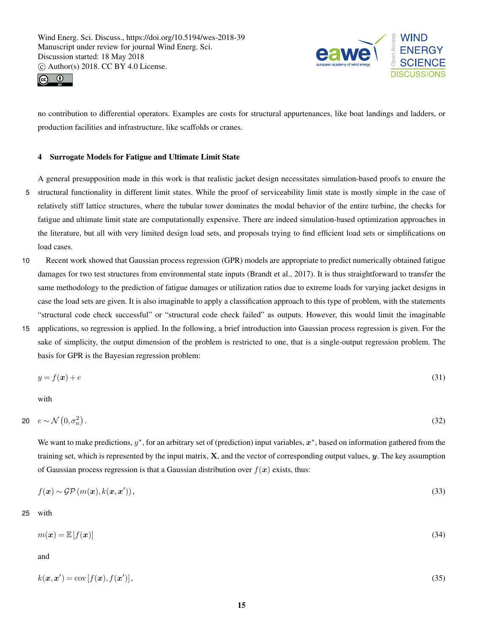



no contribution to differential operators. Examples are costs for structural appurtenances, like boat landings and ladders, or production facilities and infrastructure, like scaffolds or cranes.

## 4 Surrogate Models for Fatigue and Ultimate Limit State

A general presupposition made in this work is that realistic jacket design necessitates simulation-based proofs to ensure the 5 structural functionality in different limit states. While the proof of serviceability limit state is mostly simple in the case of relatively stiff lattice structures, where the tubular tower dominates the modal behavior of the entire turbine, the checks for fatigue and ultimate limit state are computationally expensive. There are indeed simulation-based optimization approaches in the literature, but all with very limited design load sets, and proposals trying to find efficient load sets or simplifications on load cases.

- 10 Recent work showed that Gaussian process regression (GPR) models are appropriate to predict numerically obtained fatigue damages for two test structures from environmental state inputs (Brandt et al., 2017). It is thus straightforward to transfer the same methodology to the prediction of fatigue damages or utilization ratios due to extreme loads for varying jacket designs in case the load sets are given. It is also imaginable to apply a classification approach to this type of problem, with the statements "structural code check successful" or "structural code check failed" as outputs. However, this would limit the imaginable
- 15 applications, so regression is applied. In the following, a brief introduction into Gaussian process regression is given. For the sake of simplicity, the output dimension of the problem is restricted to one, that is a single-output regression problem. The basis for GPR is the Bayesian regression problem:

$$
y = f(x) + e \tag{31}
$$

with

$$
20 \quad e \sim \mathcal{N}\left(0, \sigma_n^2\right). \tag{32}
$$

We want to make predictions,  $y^*$ , for an arbitrary set of (prediction) input variables,  $x^*$ , based on information gathered from the training set, which is represented by the input matrix,  $X$ , and the vector of corresponding output values,  $y$ . The key assumption of Gaussian process regression is that a Gaussian distribution over  $f(x)$  exists, thus:

$$
f(\mathbf{x}) \sim \mathcal{GP}(m(\mathbf{x}), k(\mathbf{x}, \mathbf{x}'))\,,\tag{33}
$$

25 with

$$
m(\boldsymbol{x}) = \mathbb{E}[f(\boldsymbol{x})] \tag{34}
$$

and

$$
k(\boldsymbol{x}, \boldsymbol{x}') = \text{cov}[f(\boldsymbol{x}), f(\boldsymbol{x}')] \,,\tag{35}
$$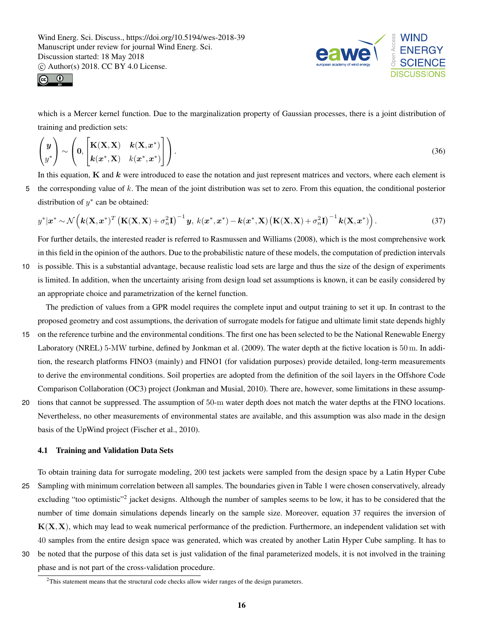



which is a Mercer kernel function. Due to the marginalization property of Gaussian processes, there is a joint distribution of training and prediction sets:

$$
\begin{pmatrix} y \\ y^* \end{pmatrix} \sim \left( 0, \begin{bmatrix} \mathbf{K}(\mathbf{X}, \mathbf{X}) & \boldsymbol{k}(\mathbf{X}, \boldsymbol{x}^*) \\ \boldsymbol{k}(\boldsymbol{x}^*, \mathbf{X}) & k(\boldsymbol{x}^*, \boldsymbol{x}^*) \end{bmatrix} \right).
$$
\n(36)

In this equation,  $K$  and  $k$  were introduced to ease the notation and just represent matrices and vectors, where each element is 5 the corresponding value of k. The mean of the joint distribution was set to zero. From this equation, the conditional posterior distribution of  $y^*$  can be obtained:

$$
y^*|\boldsymbol{x}^* \sim \mathcal{N}\left(\boldsymbol{k}(\mathbf{X}, \boldsymbol{x}^*)^T \left(\mathbf{K}(\mathbf{X}, \mathbf{X}) + \sigma_n^2 \mathbf{I}\right)^{-1} \boldsymbol{y}, \ k(\boldsymbol{x}^*, \boldsymbol{x}^*) - \boldsymbol{k}(\boldsymbol{x}^*, \mathbf{X}) \left(\mathbf{K}(\mathbf{X}, \mathbf{X}) + \sigma_n^2 \mathbf{I}\right)^{-1} \boldsymbol{k}(\mathbf{X}, \boldsymbol{x}^*)\right).
$$
 (37)

For further details, the interested reader is referred to Rasmussen and Williams (2008), which is the most comprehensive work in this field in the opinion of the authors. Due to the probabilistic nature of these models, the computation of prediction intervals

10 is possible. This is a substantial advantage, because realistic load sets are large and thus the size of the design of experiments is limited. In addition, when the uncertainty arising from design load set assumptions is known, it can be easily considered by an appropriate choice and parametrization of the kernel function.

The prediction of values from a GPR model requires the complete input and output training to set it up. In contrast to the proposed geometry and cost assumptions, the derivation of surrogate models for fatigue and ultimate limit state depends highly

- 15 on the reference turbine and the environmental conditions. The first one has been selected to be the National Renewable Energy Laboratory (NREL) 5-MW turbine, defined by Jonkman et al. (2009). The water depth at the fictive location is 50 m. In addition, the research platforms FINO3 (mainly) and FINO1 (for validation purposes) provide detailed, long-term measurements to derive the environmental conditions. Soil properties are adopted from the definition of the soil layers in the Offshore Code Comparison Collaboration (OC3) project (Jonkman and Musial, 2010). There are, however, some limitations in these assump-
- 20 tions that cannot be suppressed. The assumption of 50-m water depth does not match the water depths at the FINO locations. Nevertheless, no other measurements of environmental states are available, and this assumption was also made in the design basis of the UpWind project (Fischer et al., 2010).

## 4.1 Training and Validation Data Sets

To obtain training data for surrogate modeling, 200 test jackets were sampled from the design space by a Latin Hyper Cube 25 Sampling with minimum correlation between all samples. The boundaries given in Table 1 were chosen conservatively, already excluding "too optimistic"<sup>2</sup> jacket designs. Although the number of samples seems to be low, it has to be considered that the number of time domain simulations depends linearly on the sample size. Moreover, equation 37 requires the inversion of  $K(X, X)$ , which may lead to weak numerical performance of the prediction. Furthermore, an independent validation set with 40 samples from the entire design space was generated, which was created by another Latin Hyper Cube sampling. It has to 30 be noted that the purpose of this data set is just validation of the final parameterized models, it is not involved in the training

phase and is not part of the cross-validation procedure.

<sup>&</sup>lt;sup>2</sup>This statement means that the structural code checks allow wider ranges of the design parameters.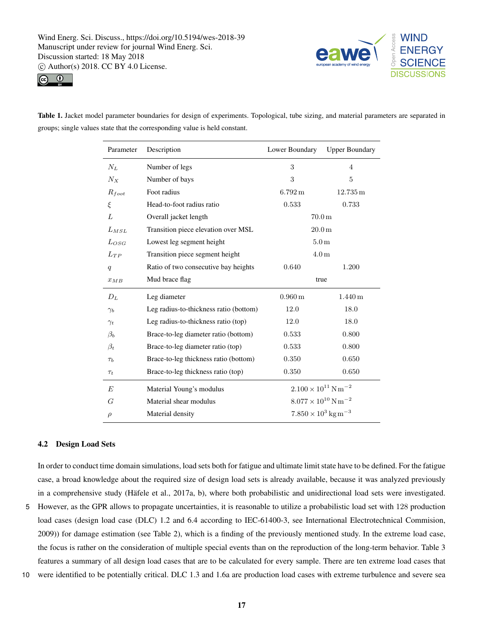



Table 1. Jacket model parameter boundaries for design of experiments. Topological, tube sizing, and material parameters are separated in groups; single values state that the corresponding value is held constant.

| Parameter  | Description                            | Lower Boundary                           | <b>Upper Boundary</b> |  |
|------------|----------------------------------------|------------------------------------------|-----------------------|--|
| $N_L$      | Number of legs                         | 3                                        | $\overline{4}$        |  |
| $N_{X}$    | Number of bays                         | 3                                        | 5                     |  |
| $R_{foot}$ | Foot radius                            | $6.792\,\mathrm{m}$                      | $12.735\,\mathrm{m}$  |  |
| ξ          | Head-to-foot radius ratio              | 0.533                                    | 0.733                 |  |
| L          | Overall jacket length                  | 70.0 <sub>m</sub>                        |                       |  |
| $L_{MSL}$  | Transition piece elevation over MSL    | 20.0 <sub>m</sub>                        |                       |  |
| LossG      | Lowest leg segment height              | 5.0 <sub>m</sub>                         |                       |  |
| $L_{TP}$   | Transition piece segment height        | 4.0 <sub>m</sub>                         |                       |  |
| q          | Ratio of two consecutive bay heights   | 0.640                                    | 1.200                 |  |
| $x_{MB}$   | Mud brace flag                         | true                                     |                       |  |
| $D_L$      | Leg diameter                           | $0.960\,\mathrm{m}$                      | $1.440\,\mathrm{m}$   |  |
| $\gamma_b$ | Leg radius-to-thickness ratio (bottom) | 12.0                                     | 18.0                  |  |
| $\gamma_t$ | Leg radius-to-thickness ratio (top)    | 12.0                                     | 18.0                  |  |
| $\beta_b$  | Brace-to-leg diameter ratio (bottom)   | 0.533                                    | 0.800                 |  |
| $\beta_t$  | Brace-to-leg diameter ratio (top)      | 0.533                                    | 0.800                 |  |
| $\tau_b$   | Brace-to-leg thickness ratio (bottom)  | 0.350                                    | 0.650                 |  |
| $\tau_t$   | Brace-to-leg thickness ratio (top)     | 0.350                                    | 0.650                 |  |
| E          | Material Young's modulus               | $2.100 \times 10^{11}$ N m <sup>-2</sup> |                       |  |
| G          | Material shear modulus                 | $8.077 \times 10^{10}$ N m <sup>-2</sup> |                       |  |
| $\rho$     | Material density                       | $7.850 \times 10^3$ kg m <sup>-3</sup>   |                       |  |

### 4.2 Design Load Sets

In order to conduct time domain simulations, load sets both for fatigue and ultimate limit state have to be defined. For the fatigue case, a broad knowledge about the required size of design load sets is already available, because it was analyzed previously in a comprehensive study (Häfele et al., 2017a, b), where both probabilistic and unidirectional load sets were investigated.

- 5 However, as the GPR allows to propagate uncertainties, it is reasonable to utilize a probabilistic load set with 128 production load cases (design load case (DLC) 1.2 and 6.4 according to IEC-61400-3, see International Electrotechnical Commision, 2009)) for damage estimation (see Table 2), which is a finding of the previously mentioned study. In the extreme load case, the focus is rather on the consideration of multiple special events than on the reproduction of the long-term behavior. Table 3 features a summary of all design load cases that are to be calculated for every sample. There are ten extreme load cases that
- 10 were identified to be potentially critical. DLC 1.3 and 1.6a are production load cases with extreme turbulence and severe sea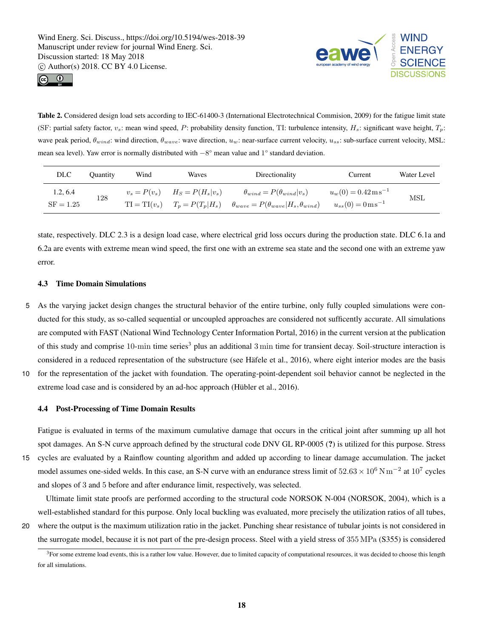



Table 2. Considered design load sets according to IEC-61400-3 (International Electrotechnical Commision, 2009) for the fatigue limit state (SF: partial safety factor,  $v_s$ : mean wind speed, P: probability density function, TI: turbulence intensity,  $H_s$ : significant wave height,  $T_p$ : wave peak period,  $\theta_{wind}$ : wind direction,  $\theta_{wave}$ : wave direction,  $u_w$ : near-surface current velocity,  $u_{ss}$ : sub-surface current velocity, MSL: mean sea level). Yaw error is normally distributed with −8° mean value and 1° standard deviation.

| DLC.                    | <b>Ouantity</b> | Wind | Waves                                                                  | Directionality                                                                                      | Current                                                                               | Water Level |
|-------------------------|-----------------|------|------------------------------------------------------------------------|-----------------------------------------------------------------------------------------------------|---------------------------------------------------------------------------------------|-------------|
| 1.2, 6.4<br>$SF = 1.25$ | 128             |      | $v_s = P(v_s)$ $H_S = P(H_s v_s)$<br>$TI = TI(v_s)$ $T_p = P(T_p H_s)$ | $\theta_{wind} = P(\theta_{wind}   v_s)$<br>$\theta_{wave} = P(\theta_{wave}   H_s, \theta_{wind})$ | $u_w(0) = 0.42 \,\mathrm{m\,s}^{-1}$<br>$u_{ss}(0) = 0 \,\mathrm{m}\,\mathrm{s}^{-1}$ | MSL         |

state, respectively. DLC 2.3 is a design load case, where electrical grid loss occurs during the production state. DLC 6.1a and 6.2a are events with extreme mean wind speed, the first one with an extreme sea state and the second one with an extreme yaw error.

# 4.3 Time Domain Simulations

5 As the varying jacket design changes the structural behavior of the entire turbine, only fully coupled simulations were conducted for this study, as so-called sequential or uncoupled approaches are considered not sufficently accurate. All simulations are computed with FAST (National Wind Technology Center Information Portal, 2016) in the current version at the publication of this study and comprise  $10$ -min time series<sup>3</sup> plus an additional 3 min time for transient decay. Soil-structure interaction is considered in a reduced representation of the substructure (see Häfele et al., 2016), where eight interior modes are the basis 10 for the representation of the jacket with foundation. The operating-point-dependent soil behavior cannot be neglected in the

extreme load case and is considered by an ad-hoc approach (Hübler et al., 2016).

# 4.4 Post-Processing of Time Domain Results

Fatigue is evaluated in terms of the maximum cumulative damage that occurs in the critical joint after summing up all hot spot damages. An S-N curve approach defined by the structural code DNV GL RP-0005 (?) is utilized for this purpose. Stress

15 cycles are evaluated by a Rainflow counting algorithm and added up according to linear damage accumulation. The jacket model assumes one-sided welds. In this case, an S-N curve with an endurance stress limit of  $52.63 \times 10^6$  N m<sup>-2</sup> at  $10^7$  cycles and slopes of 3 and 5 before and after endurance limit, respectively, was selected.

Ultimate limit state proofs are performed according to the structural code NORSOK N-004 (NORSOK, 2004), which is a well-established standard for this purpose. Only local buckling was evaluated, more precisely the utilization ratios of all tubes,

20 where the output is the maximum utilization ratio in the jacket. Punching shear resistance of tubular joints is not considered in the surrogate model, because it is not part of the pre-design process. Steel with a yield stress of 355 MPa (S355) is considered

<sup>&</sup>lt;sup>3</sup>For some extreme load events, this is a rather low value. However, due to limited capacity of computational resources, it was decided to choose this length for all simulations.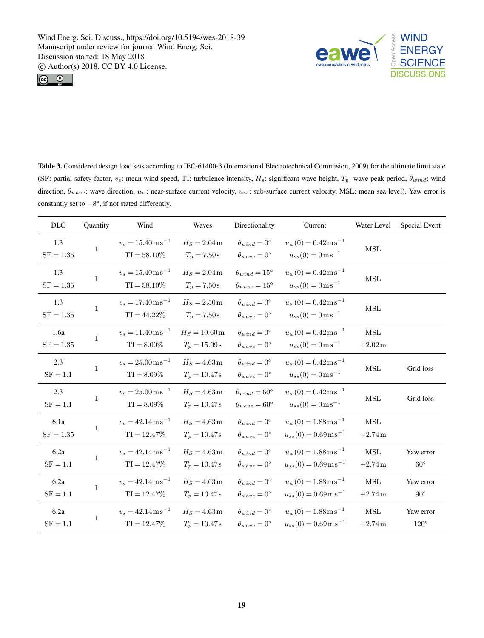



Table 3. Considered design load sets according to IEC-61400-3 (International Electrotechnical Commision, 2009) for the ultimate limit state (SF: partial safety factor,  $v_s$ : mean wind speed, TI: turbulence intensity,  $H_s$ : significant wave height,  $T_p$ : wave peak period,  $\theta_{wind}$ : wind direction,  $\theta_{wave}$ : wave direction,  $u_w$ : near-surface current velocity,  $u_{ss}$ : sub-surface current velocity, MSL: mean sea level). Yaw error is constantly set to −8°, if not stated differently.

| DLC                       | Quantity     | Wind                                                      | Waves                                         | Directionality                                               | Current                                                                               | Water Level                                 | Special Event              |
|---------------------------|--------------|-----------------------------------------------------------|-----------------------------------------------|--------------------------------------------------------------|---------------------------------------------------------------------------------------|---------------------------------------------|----------------------------|
| 1.3<br>$SF = 1.35$        | $\mathbf{1}$ | $v_s = 15.40 \,\mathrm{m\,s}^{-1}$<br>$TI = 58.10\%$      | $H_S = 2.04 \,\mathrm{m}$<br>$T_p = 7.50 s$   | $\theta_{wind} = 0^{\circ}$<br>$\theta_{wave}=0^{\circ}$     | $u_w(0) = 0.42 \,\mathrm{m\,s}^{-1}$<br>$u_{ss}(0) = 0 \,\mathrm{m}\,\mathrm{s}^{-1}$ | $\operatorname{MSL}$                        |                            |
| 1.3<br>$SF = 1.35$        | 1            | $v_s = 15.40 \,\mathrm{m\,s}^{-1}$<br>$TI = 58.10\%$      | $H_S = 2.04 \text{ m}$<br>$T_p = 7.50 s$      | $\theta_{wind} = 15^{\circ}$<br>$\theta_{wave} = 15^{\circ}$ | $u_w(0) = 0.42 \,\mathrm{m\,s}^{-1}$<br>$u_{ss}(0) = 0 \,\mathrm{m}\,\mathrm{s}^{-1}$ | $\operatorname{MSL}$                        |                            |
| 1.3<br>$\mathrm{SF}=1.35$ | 1            | $v_s = 17.40 \,\mathrm{m\,s}^{-1}$<br>$TI = 44.22\%$      | $H_S = 2.50 \text{ m}$<br>$T_p = 7.50 s$      | $\theta_{wind} = 0^{\circ}$<br>$\theta_{wave}=0^{\circ}$     | $u_w(0) = 0.42 \,\mathrm{m\,s}^{-1}$<br>$u_{ss}(0) = 0 \,\mathrm{m}\,\mathrm{s}^{-1}$ | $\operatorname{MSL}$                        |                            |
| 1.6a<br>$SF = 1.35$       | 1            | $v_s = 11.40 \,\mathrm{m\,s}^{-1}$<br>$TI = 8.09\%$       | $H_S = 10.60 \,\mathrm{m}$<br>$T_p = 15.09 s$ | $\theta_{wind} = 0^{\circ}$<br>$\theta_{wave}=0^{\circ}$     | $u_w(0) = 0.42 \,\mathrm{m\,s}^{-1}$<br>$u_{ss}(0) = 0 \,\mathrm{m}\,\mathrm{s}^{-1}$ | $\operatorname{MSL}$<br>$+2.02\,\mathrm{m}$ |                            |
| 2.3<br>$SF = 1.1$         | 1            | $v_s = 25.00 \,\mathrm{m\,s}^{-1}$<br>$TI = 8.09\%$       | $H_S = 4.63 \text{ m}$<br>$T_p = 10.47 s$     | $\theta_{wind} = 0^{\circ}$<br>$\theta_{wave}=0^{\circ}$     | $u_w(0) = 0.42 \,\mathrm{m\,s}^{-1}$<br>$u_{ss}(0) = 0 \,\mathrm{m}\,\mathrm{s}^{-1}$ | $\operatorname{MSL}$                        | Grid loss                  |
| 2.3<br>$\mathrm{SF}=1.1$  | 1            | $v_s = 25.00 \,\mathrm{m\,s}^{-1}$<br>$TI = 8.09\%$       | $H_S = 4.63 \text{ m}$<br>$T_p = 10.47$ s     | $\theta_{wind} = 60^{\circ}$<br>$\theta_{wave} = 60^{\circ}$ | $u_w(0) = 0.42 \,\mathrm{m\,s}^{-1}$<br>$u_{ss}(0) = 0 \,\mathrm{m}\,\mathrm{s}^{-1}$ | $\operatorname{MSL}$                        | Grid loss                  |
| 6.1a<br>$SF = 1.35$       | 1            | $v_s = 42.14 \,\mathrm{m\,s}^{-1}$<br>$\text{TI}=12.47\%$ | $H_S = 4.63 \text{ m}$<br>$T_p = 10.47$ s     | $\theta_{wind} = 0^{\circ}$<br>$\theta_{wave}=0^{\circ}$     | $u_w(0) = 1.88 \,\mathrm{m\,s}^{-1}$<br>$u_{ss}(0) = 0.69 \,\mathrm{m\,s}^{-1}$       | <b>MSL</b><br>$+2.74$ m                     |                            |
| 6.2a<br>$SF = 1.1$        | 1            | $v_s = 42.14 \,\mathrm{m\,s}^{-1}$<br>$TI = 12.47\%$      | $H_S = 4.63 \text{ m}$<br>$T_p = 10.47$ s     | $\theta_{wind} = 0^{\circ}$<br>$\theta_{wave}=0^{\circ}$     | $u_w(0) = 1.88 \,\mathrm{m\,s}^{-1}$<br>$u_{ss}(0) = 0.69 \,\mathrm{m\,s}^{-1}$       | <b>MSL</b><br>$+2.74m$                      | Yaw error<br>$60^{\circ}$  |
| 6.2a<br>$\mathrm{SF}=1.1$ | 1            | $v_s = 42.14 \,\mathrm{m\,s}^{-1}$<br>$TI = 12.47\%$      | $H_S = 4.63 \text{ m}$<br>$T_p = 10.47 s$     | $\theta_{wind} = 0^{\circ}$<br>$\theta_{wave}=0^{\circ}$     | $u_w(0) = 1.88 \,\mathrm{m\,s}^{-1}$<br>$u_{ss}(0) = 0.69 \,\mathrm{m\,s}^{-1}$       | MSL<br>$+2.74m$                             | Yaw error<br>$90^{\circ}$  |
| 6.2a<br>$SF = 1.1$        | 1            | $v_s = 42.14 \,\mathrm{m\,s}^{-1}$<br>$\text{TI}=12.47\%$ | $H_S = 4.63 \text{ m}$<br>$T_p = 10.47$ s     | $\theta_{wind} = 0^{\circ}$<br>$\theta_{wave}=0^{\circ}$     | $u_w(0) = 1.88 \,\mathrm{m\,s}^{-1}$<br>$u_{ss}(0) = 0.69 \,\mathrm{m\,s}^{-1}$       | $\operatorname{MSL}$<br>$+2.74m$            | Yaw error<br>$120^{\circ}$ |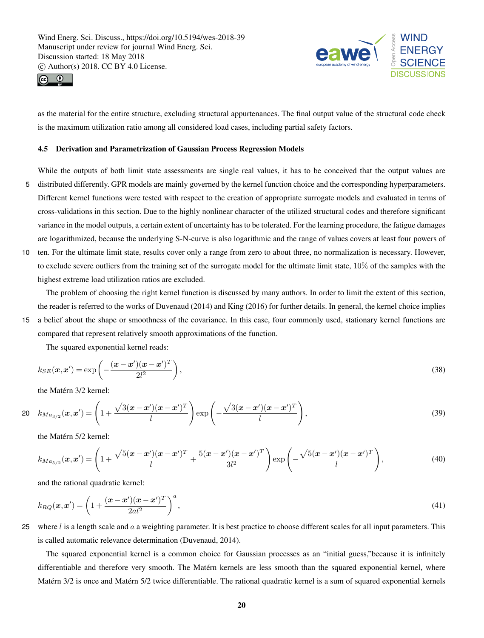



as the material for the entire structure, excluding structural appurtenances. The final output value of the structural code check is the maximum utilization ratio among all considered load cases, including partial safety factors.

#### 4.5 Derivation and Parametrization of Gaussian Process Regression Models

While the outputs of both limit state assessments are single real values, it has to be conceived that the output values are

- 5 distributed differently. GPR models are mainly governed by the kernel function choice and the corresponding hyperparameters. Different kernel functions were tested with respect to the creation of appropriate surrogate models and evaluated in terms of cross-validations in this section. Due to the highly nonlinear character of the utilized structural codes and therefore significant variance in the model outputs, a certain extent of uncertainty has to be tolerated. For the learning procedure, the fatigue damages are logarithmized, because the underlying S-N-curve is also logarithmic and the range of values covers at least four powers of
- 10 ten. For the ultimate limit state, results cover only a range from zero to about three, no normalization is necessary. However, to exclude severe outliers from the training set of the surrogate model for the ultimate limit state, 10% of the samples with the highest extreme load utilization ratios are excluded.

The problem of choosing the right kernel function is discussed by many authors. In order to limit the extent of this section, the reader is referred to the works of Duvenaud (2014) and King (2016) for further details. In general, the kernel choice implies

15 a belief about the shape or smoothness of the covariance. In this case, four commonly used, stationary kernel functions are compared that represent relatively smooth approximations of the function.

The squared exponential kernel reads:

$$
k_{SE}(\boldsymbol{x}, \boldsymbol{x}') = \exp\left(-\frac{(\boldsymbol{x} - \boldsymbol{x}')(\boldsymbol{x} - \boldsymbol{x}')^T}{2l^2}\right),\tag{38}
$$

the Matérn 3/2 kernel:

20 
$$
k_{Ma_{3/2}}(\mathbf{x}, \mathbf{x}') = \left(1 + \frac{\sqrt{3(\mathbf{x} - \mathbf{x}')(\mathbf{x} - \mathbf{x}')^T}}{l}\right) \exp\left(-\frac{\sqrt{3(\mathbf{x} - \mathbf{x}')(\mathbf{x} - \mathbf{x}')^T}}{l}\right),
$$
 (39)

the Matérn 5/2 kernel:

$$
k_{Ma_{5/2}}(\boldsymbol{x}, \boldsymbol{x}') = \left(1 + \frac{\sqrt{5(\boldsymbol{x} - \boldsymbol{x}')(\boldsymbol{x} - \boldsymbol{x}')^T}}{l} + \frac{5(\boldsymbol{x} - \boldsymbol{x}')(\boldsymbol{x} - \boldsymbol{x}')^T}{3l^2}\right) \exp\left(-\frac{\sqrt{5(\boldsymbol{x} - \boldsymbol{x}')(\boldsymbol{x} - \boldsymbol{x}')^T}}{l}\right),\tag{40}
$$

and the rational quadratic kernel:

$$
k_{RQ}(\boldsymbol{x}, \boldsymbol{x}') = \left(1 + \frac{(\boldsymbol{x} - \boldsymbol{x}')(\boldsymbol{x} - \boldsymbol{x}')^T}{2a l^2}\right)^a,
$$
\n(41)

25 where  $l$  is a length scale and  $a$  a weighting parameter. It is best practice to choose different scales for all input parameters. This is called automatic relevance determination (Duvenaud, 2014).

The squared exponential kernel is a common choice for Gaussian processes as an "initial guess,"because it is infinitely differentiable and therefore very smooth. The Matérn kernels are less smooth than the squared exponential kernel, where Matérn 3/2 is once and Matérn 5/2 twice differentiable. The rational quadratic kernel is a sum of squared exponential kernels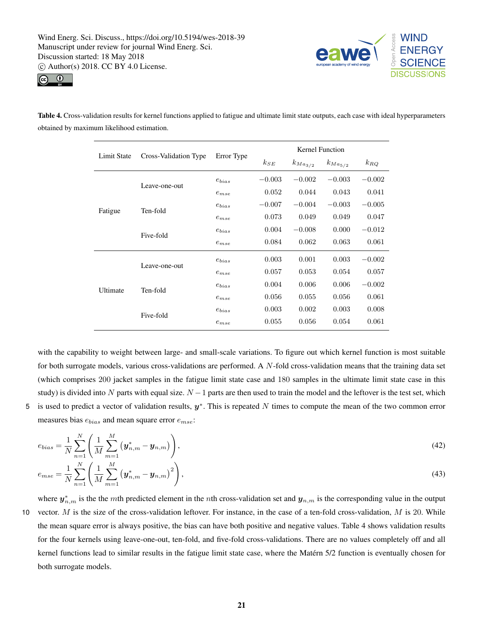



Table 4. Cross-validation results for kernel functions applied to fatigue and ultimate limit state outputs, each case with ideal hyperparameters obtained by maximum likelihood estimation.

|             | Cross-Validation Type | Error Type | Kernel Function |                |                |          |
|-------------|-----------------------|------------|-----------------|----------------|----------------|----------|
| Limit State |                       |            | $k_{SE}$        | $k_{Ma_{3/2}}$ | $k_{Ma_{5/2}}$ | $k_{RQ}$ |
|             | Leave-one-out         | $e_{bias}$ | $-0.003$        | $-0.002$       | $-0.003$       | $-0.002$ |
|             |                       | $e_{mse}$  | 0.052           | 0.044          | 0.043          | 0.041    |
|             | Ten-fold              | $e_{bias}$ | $-0.007$        | $-0.004$       | $-0.003$       | $-0.005$ |
| Fatigue     |                       | $e_{mse}$  | 0.073           | 0.049          | 0.049          | 0.047    |
|             | Five-fold             | $e_{bias}$ | 0.004           | $-0.008$       | 0.000          | $-0.012$ |
|             |                       | $e_{mse}$  | 0.084           | 0.062          | 0.063          | 0.061    |
|             | Leave-one-out         | $e_{bias}$ | 0.003           | 0.001          | 0.003          | $-0.002$ |
|             |                       | $e_{mse}$  | 0.057           | 0.053          | 0.054          | 0.057    |
| Ultimate    | Ten-fold              | $e_{bias}$ | 0.004           | 0.006          | 0.006          | $-0.002$ |
|             |                       | $e_{mse}$  | 0.056           | 0.055          | 0.056          | 0.061    |
|             | Five-fold             | $e_{bias}$ | 0.003           | 0.002          | 0.003          | 0.008    |
|             |                       | $e_{mse}$  | 0.055           | 0.056          | 0.054          | 0.061    |

with the capability to weight between large- and small-scale variations. To figure out which kernel function is most suitable for both surrogate models, various cross-validations are performed. A N-fold cross-validation means that the training data set (which comprises 200 jacket samples in the fatigue limit state case and 180 samples in the ultimate limit state case in this study) is divided into N parts with equal size.  $N - 1$  parts are then used to train the model and the leftover is the test set, which 5 is used to predict a vector of validation results,  $y^*$ . This is repeated N times to compute the mean of the two common error measures bias  $e_{bias}$  and mean square error  $e_{mse}$ :

$$
e_{bias} = \frac{1}{N} \sum_{n=1}^{N} \left( \frac{1}{M} \sum_{m=1}^{M} \left( \mathbf{y}_{n,m}^{*} - \mathbf{y}_{n,m} \right) \right),
$$
  
\n
$$
e_{mse} = \frac{1}{N} \sum_{n=1}^{N} \left( \frac{1}{M} \sum_{m=1}^{M} \left( \mathbf{y}_{n,m}^{*} - \mathbf{y}_{n,m} \right)^{2} \right),
$$
\n(42)

where  $y^*_{n,m}$  is the the mth predicted element in the nth cross-validation set and  $y_{n,m}$  is the corresponding value in the output 10 vector.  $M$  is the size of the cross-validation leftover. For instance, in the case of a ten-fold cross-validation,  $M$  is 20. While the mean square error is always positive, the bias can have both positive and negative values. Table 4 shows validation results for the four kernels using leave-one-out, ten-fold, and five-fold cross-validations. There are no values completely off and all kernel functions lead to similar results in the fatigue limit state case, where the Matérn 5/2 function is eventually chosen for both surrogate models.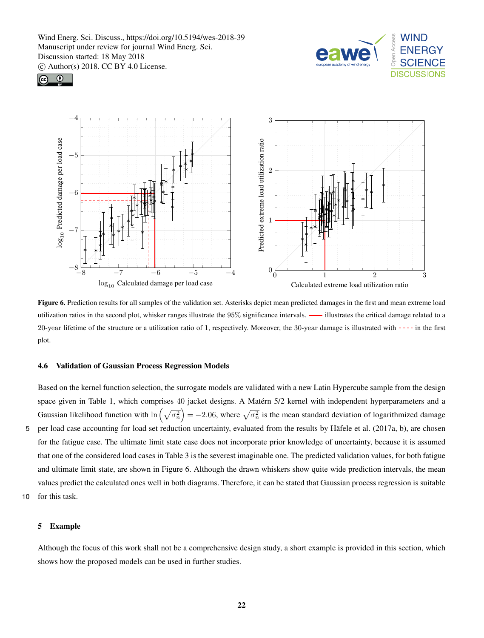





Figure 6. Prediction results for all samples of the validation set. Asterisks depict mean predicted damages in the first and mean extreme load utilization ratios in the second plot, whisker ranges illustrate the 95% significance intervals. — illustrates the critical damage related to a 20-year lifetime of the structure or a utilization ratio of 1, respectively. Moreover, the  $30$ -year damage is illustrated with  $---$  in the first plot.

#### 4.6 Validation of Gaussian Process Regression Models

Based on the kernel function selection, the surrogate models are validated with a new Latin Hypercube sample from the design space given in Table 1, which comprises 40 jacket designs. A Matérn 5/2 kernel with independent hyperparameters and a Gaussian likelihood function with  $\ln\left(\sqrt{\sigma_n^2}\right) = -2.06$ , where  $\sqrt{\sigma_n^2}$  is the mean standard deviation of logarithmized damage 5 per load case accounting for load set reduction uncertainty, evaluated from the results by Häfele et al. (2017a, b), are chosen for the fatigue case. The ultimate limit state case does not incorporate prior knowledge of uncertainty, because it is assumed that one of the considered load cases in Table 3 is the severest imaginable one. The predicted validation values, for both fatigue and ultimate limit state, are shown in Figure 6. Although the drawn whiskers show quite wide prediction intervals, the mean values predict the calculated ones well in both diagrams. Therefore, it can be stated that Gaussian process regression is suitable 10 for this task.

# 5 Example

Although the focus of this work shall not be a comprehensive design study, a short example is provided in this section, which shows how the proposed models can be used in further studies.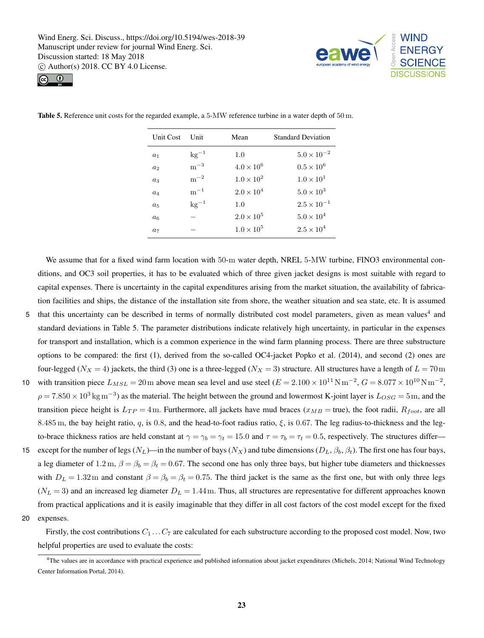



| Unit Cost      | Unit      | Mean                | <b>Standard Deviation</b> |
|----------------|-----------|---------------------|---------------------------|
| a <sub>1</sub> | $kg^{-1}$ | 1.0                 | $5.0 \times 10^{-2}$      |
| a <sub>2</sub> | $m^{-3}$  | $4.0 \times 10^{6}$ | $0.5 \times 10^{6}$       |
| $a_3$          | $m^{-2}$  | $1.0 \times 10^{2}$ | $1.0 \times 10^{1}$       |
| $a_4$          | $m^{-1}$  | $2.0 \times 10^{4}$ | $5.0\times10^3$           |
| $a_5$          | $kg^{-1}$ | 1.0                 | $2.5 \times 10^{-1}$      |
| a <sub>6</sub> |           | $2.0 \times 10^{5}$ | $5.0\times10^4$           |
| a <sub>7</sub> |           | $1.0 \times 10^{5}$ | $2.5 \times 10^{4}$       |

Table 5. Reference unit costs for the regarded example, a 5-MW reference turbine in a water depth of 50 m.

We assume that for a fixed wind farm location with 50-m water depth, NREL 5-MW turbine, FINO3 environmental conditions, and OC3 soil properties, it has to be evaluated which of three given jacket designs is most suitable with regard to capital expenses. There is uncertainty in the capital expenditures arising from the market situation, the availability of fabrication facilities and ships, the distance of the installation site from shore, the weather situation and sea state, etc. It is assumed

- 5 that this uncertainty can be described in terms of normally distributed cost model parameters, given as mean values<sup>4</sup> and standard deviations in Table 5. The parameter distributions indicate relatively high uncertainty, in particular in the expenses for transport and installation, which is a common experience in the wind farm planning process. There are three substructure options to be compared: the first (1), derived from the so-called OC4-jacket Popko et al. (2014), and second (2) ones are four-legged ( $N_X = 4$ ) jackets, the third (3) one is a three-legged ( $N_X = 3$ ) structure. All structures have a length of  $L = 70$ m
- 10 with transition piece  $L_{MSL} = 20 \text{ m}$  above mean sea level and use steel  $(E = 2.100 \times 10^{11} \text{ N} \text{ m}^{-2}, G = 8.077 \times 10^{10} \text{ N} \text{ m}^{-2}$ ,  $\rho = 7.850 \times 10^3 \text{ kg m}^{-3}$ ) as the material. The height between the ground and lowermost K-joint layer is  $L_{OSG} = 5$ m, and the transition piece height is  $L_{TP} = 4$ m. Furthermore, all jackets have mud braces ( $x_{MB}$  = true), the foot radii,  $R_{foot}$ , are all 8.485 m, the bay height ratio, q, is 0.8, and the head-to-foot radius ratio,  $\xi$ , is 0.67. The leg radius-to-thickness and the legto-brace thickness ratios are held constant at  $\gamma = \gamma_b = \gamma_t = 15.0$  and  $\tau = \tau_b = \tau_t = 0.5$ , respectively. The structures differ—
- 15 except for the number of legs (N<sub>L</sub>)—in the number of bays (N<sub>X</sub>) and tube dimensions (D<sub>L</sub>,  $\beta_b$ ,  $\beta_t$ ). The first one has four bays, a leg diameter of 1.2 m,  $\beta = \beta_b = \beta_t = 0.67$ . The second one has only three bays, but higher tube diameters and thicknesses with  $D_L = 1.32$ m and constant  $\beta = \beta_b = \beta_t = 0.75$ . The third jacket is the same as the first one, but with only three legs  $(N_L = 3)$  and an increased leg diameter  $D_L = 1.44$ m. Thus, all structures are representative for different approaches known from practical applications and it is easily imaginable that they differ in all cost factors of the cost model except for the fixed
- 20 expenses.

Firstly, the cost contributions  $C_1 \ldots C_7$  are calculated for each substructure according to the proposed cost model. Now, two helpful properties are used to evaluate the costs:

<sup>&</sup>lt;sup>4</sup>The values are in accordance with practical experience and published information about jacket expenditures (Michels, 2014; National Wind Technology Center Information Portal, 2014).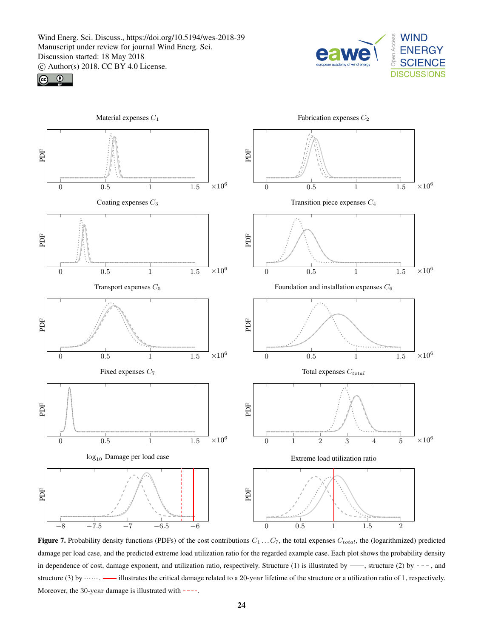





Figure 7. Probability density functions (PDFs) of the cost contributions  $C_1 \ldots C_7$ , the total expenses  $C_{total}$ , the (logarithmized) predicted damage per load case, and the predicted extreme load utilization ratio for the regarded example case. Each plot shows the probability density in dependence of cost, damage exponent, and utilization ratio, respectively. Structure (1) is illustrated by  $\cdots$ , structure (2) by  $-$  -, and structure (3) by  $\cdots$   $\cdots$   $\cdots$  illustrates the critical damage related to a 20-year lifetime of the structure or a utilization ratio of 1, respectively. Moreover, the 30-year damage is illustrated with ----.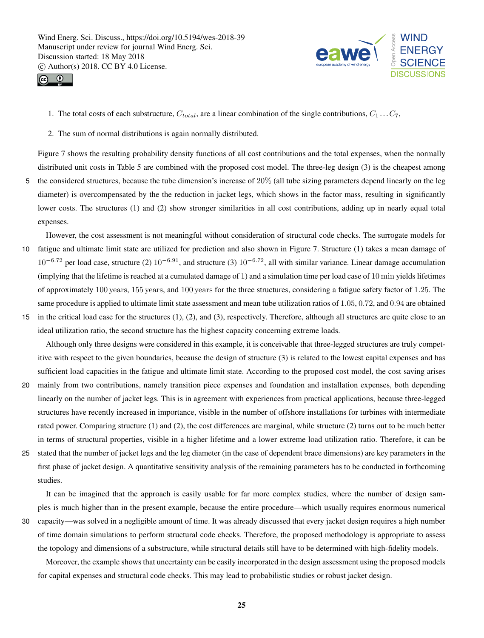



1. The total costs of each substructure,  $C_{total}$ , are a linear combination of the single contributions,  $C_1 \ldots C_7$ ,

2. The sum of normal distributions is again normally distributed.

Figure 7 shows the resulting probability density functions of all cost contributions and the total expenses, when the normally distributed unit costs in Table 5 are combined with the proposed cost model. The three-leg design (3) is the cheapest among 5 the considered structures, because the tube dimension's increase of 20% (all tube sizing parameters depend linearly on the leg diameter) is overcompensated by the the reduction in jacket legs, which shows in the factor mass, resulting in significantly lower costs. The structures (1) and (2) show stronger similarities in all cost contributions, adding up in nearly equal total

expenses.

However, the cost assessment is not meaningful without consideration of structural code checks. The surrogate models for 10 fatigue and ultimate limit state are utilized for prediction and also shown in Figure 7. Structure (1) takes a mean damage of  $10^{-6.72}$  per load case, structure (2)  $10^{-6.91}$ , and structure (3)  $10^{-6.72}$ , all with similar variance. Linear damage accumulation (implying that the lifetime is reached at a cumulated damage of 1) and a simulation time per load case of 10 min yields lifetimes of approximately 100 years, 155 years, and 100 years for the three structures, considering a fatigue safety factor of 1.25. The same procedure is applied to ultimate limit state assessment and mean tube utilization ratios of 1.05, 0.72, and 0.94 are obtained

15 in the critical load case for the structures (1), (2), and (3), respectively. Therefore, although all structures are quite close to an ideal utilization ratio, the second structure has the highest capacity concerning extreme loads.

Although only three designs were considered in this example, it is conceivable that three-legged structures are truly competitive with respect to the given boundaries, because the design of structure (3) is related to the lowest capital expenses and has sufficient load capacities in the fatigue and ultimate limit state. According to the proposed cost model, the cost saving arises

- 20 mainly from two contributions, namely transition piece expenses and foundation and installation expenses, both depending linearly on the number of jacket legs. This is in agreement with experiences from practical applications, because three-legged structures have recently increased in importance, visible in the number of offshore installations for turbines with intermediate rated power. Comparing structure (1) and (2), the cost differences are marginal, while structure (2) turns out to be much better in terms of structural properties, visible in a higher lifetime and a lower extreme load utilization ratio. Therefore, it can be
- 25 stated that the number of jacket legs and the leg diameter (in the case of dependent brace dimensions) are key parameters in the first phase of jacket design. A quantitative sensitivity analysis of the remaining parameters has to be conducted in forthcoming studies.

It can be imagined that the approach is easily usable for far more complex studies, where the number of design samples is much higher than in the present example, because the entire procedure—which usually requires enormous numerical

30 capacity—was solved in a negligible amount of time. It was already discussed that every jacket design requires a high number of time domain simulations to perform structural code checks. Therefore, the proposed methodology is appropriate to assess the topology and dimensions of a substructure, while structural details still have to be determined with high-fidelity models.

Moreover, the example shows that uncertainty can be easily incorporated in the design assessment using the proposed models for capital expenses and structural code checks. This may lead to probabilistic studies or robust jacket design.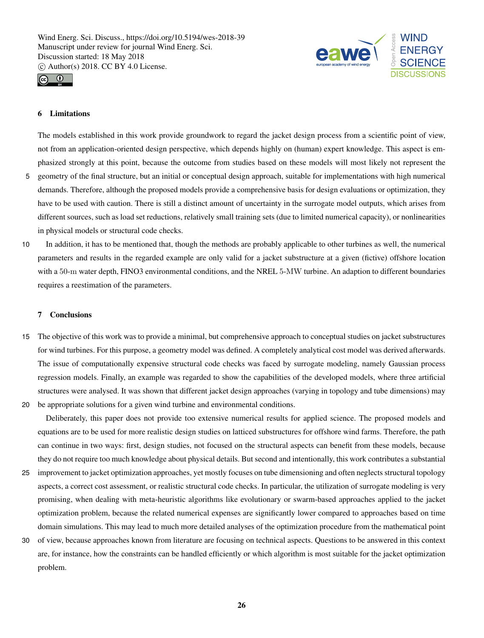



# 6 Limitations

The models established in this work provide groundwork to regard the jacket design process from a scientific point of view, not from an application-oriented design perspective, which depends highly on (human) expert knowledge. This aspect is emphasized strongly at this point, because the outcome from studies based on these models will most likely not represent the

- 5 geometry of the final structure, but an initial or conceptual design approach, suitable for implementations with high numerical demands. Therefore, although the proposed models provide a comprehensive basis for design evaluations or optimization, they have to be used with caution. There is still a distinct amount of uncertainty in the surrogate model outputs, which arises from different sources, such as load set reductions, relatively small training sets (due to limited numerical capacity), or nonlinearities in physical models or structural code checks.
- 10 In addition, it has to be mentioned that, though the methods are probably applicable to other turbines as well, the numerical parameters and results in the regarded example are only valid for a jacket substructure at a given (fictive) offshore location with a 50-m water depth, FINO3 environmental conditions, and the NREL 5-MW turbine. An adaption to different boundaries requires a reestimation of the parameters.

#### 7 Conclusions

15 The objective of this work was to provide a minimal, but comprehensive approach to conceptual studies on jacket substructures for wind turbines. For this purpose, a geometry model was defined. A completely analytical cost model was derived afterwards. The issue of computationally expensive structural code checks was faced by surrogate modeling, namely Gaussian process regression models. Finally, an example was regarded to show the capabilities of the developed models, where three artificial structures were analysed. It was shown that different jacket design approaches (varying in topology and tube dimensions) may 20 be appropriate solutions for a given wind turbine and environmental conditions.

Deliberately, this paper does not provide too extensive numerical results for applied science. The proposed models and equations are to be used for more realistic design studies on latticed substructures for offshore wind farms. Therefore, the path can continue in two ways: first, design studies, not focused on the structural aspects can benefit from these models, because they do not require too much knowledge about physical details. But second and intentionally, this work contributes a substantial

- 25 improvement to jacket optimization approaches, yet mostly focuses on tube dimensioning and often neglects structural topology aspects, a correct cost assessment, or realistic structural code checks. In particular, the utilization of surrogate modeling is very promising, when dealing with meta-heuristic algorithms like evolutionary or swarm-based approaches applied to the jacket optimization problem, because the related numerical expenses are significantly lower compared to approaches based on time domain simulations. This may lead to much more detailed analyses of the optimization procedure from the mathematical point
- 30 of view, because approaches known from literature are focusing on technical aspects. Questions to be answered in this context are, for instance, how the constraints can be handled efficiently or which algorithm is most suitable for the jacket optimization problem.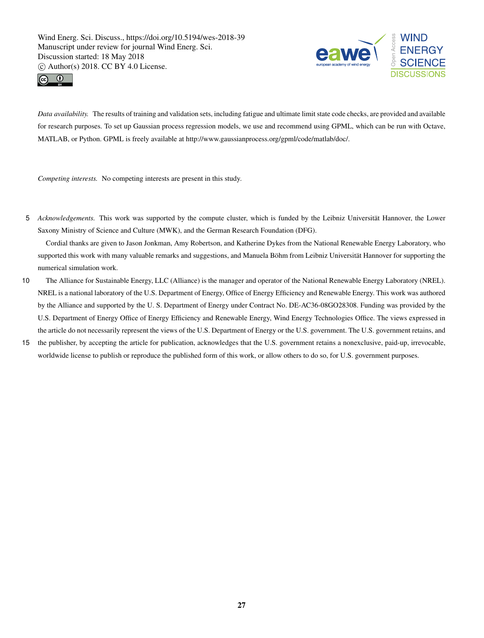



*Data availability.* The results of training and validation sets, including fatigue and ultimate limit state code checks, are provided and available for research purposes. To set up Gaussian process regression models, we use and recommend using GPML, which can be run with Octave, MATLAB, or Python. GPML is freely available at http://www.gaussianprocess.org/gpml/code/matlab/doc/.

*Competing interests.* No competing interests are present in this study.

5 *Acknowledgements.* This work was supported by the compute cluster, which is funded by the Leibniz Universität Hannover, the Lower Saxony Ministry of Science and Culture (MWK), and the German Research Foundation (DFG).

Cordial thanks are given to Jason Jonkman, Amy Robertson, and Katherine Dykes from the National Renewable Energy Laboratory, who supported this work with many valuable remarks and suggestions, and Manuela Böhm from Leibniz Universität Hannover for supporting the numerical simulation work.

- 10 The Alliance for Sustainable Energy, LLC (Alliance) is the manager and operator of the National Renewable Energy Laboratory (NREL). NREL is a national laboratory of the U.S. Department of Energy, Office of Energy Efficiency and Renewable Energy. This work was authored by the Alliance and supported by the U. S. Department of Energy under Contract No. DE-AC36-08GO28308. Funding was provided by the U.S. Department of Energy Office of Energy Efficiency and Renewable Energy, Wind Energy Technologies Office. The views expressed in the article do not necessarily represent the views of the U.S. Department of Energy or the U.S. government. The U.S. government retains, and
- 15 the publisher, by accepting the article for publication, acknowledges that the U.S. government retains a nonexclusive, paid-up, irrevocable, worldwide license to publish or reproduce the published form of this work, or allow others to do so, for U.S. government purposes.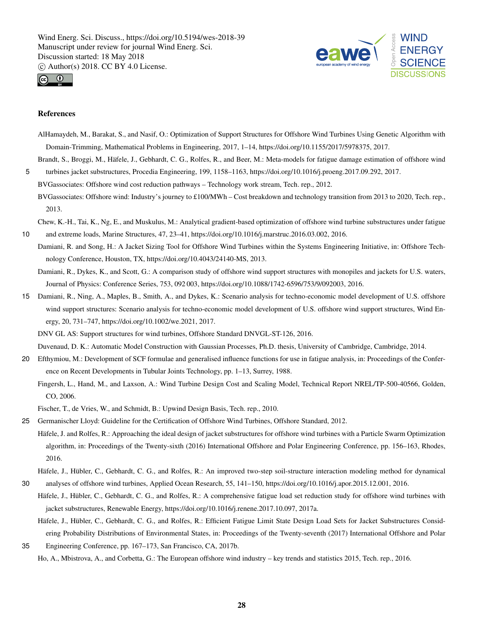



#### References

- AlHamaydeh, M., Barakat, S., and Nasif, O.: Optimization of Support Structures for Offshore Wind Turbines Using Genetic Algorithm with Domain-Trimming, Mathematical Problems in Engineering, 2017, 1–14, https://doi.org/10.1155/2017/5978375, 2017.
- Brandt, S., Broggi, M., Häfele, J., Gebhardt, C. G., Rolfes, R., and Beer, M.: Meta-models for fatigue damage estimation of offshore wind 5 turbines jacket substructures, Procedia Engineering, 199, 1158–1163, https://doi.org/10.1016/j.proeng.2017.09.292, 2017.
	- BVGassociates: Offshore wind cost reduction pathways Technology work stream, Tech. rep., 2012. BVGassociates: Offshore wind: Industry's journey to £100/MWh – Cost breakdown and technology transition from 2013 to 2020, Tech. rep., 2013.

Chew, K.-H., Tai, K., Ng, E., and Muskulus, M.: Analytical gradient-based optimization of offshore wind turbine substructures under fatigue

- 10 and extreme loads, Marine Structures, 47, 23–41, https://doi.org/10.1016/j.marstruc.2016.03.002, 2016.
	- Damiani, R. and Song, H.: A Jacket Sizing Tool for Offshore Wind Turbines within the Systems Engineering Initiative, in: Offshore Technology Conference, Houston, TX, https://doi.org/10.4043/24140-MS, 2013.
	- Damiani, R., Dykes, K., and Scott, G.: A comparison study of offshore wind support structures with monopiles and jackets for U.S. waters, Journal of Physics: Conference Series, 753, 092 003, https://doi.org/10.1088/1742-6596/753/9/092003, 2016.
- 15 Damiani, R., Ning, A., Maples, B., Smith, A., and Dykes, K.: Scenario analysis for techno-economic model development of U.S. offshore wind support structures: Scenario analysis for techno-economic model development of U.S. offshore wind support structures, Wind Energy, 20, 731–747, https://doi.org/10.1002/we.2021, 2017.
	- DNV GL AS: Support structures for wind turbines, Offshore Standard DNVGL-ST-126, 2016.

Duvenaud, D. K.: Automatic Model Construction with Gaussian Processes, Ph.D. thesis, University of Cambridge, Cambridge, 2014.

- 20 Efthymiou, M.: Development of SCF formulae and generalised influence functions for use in fatigue analysis, in: Proceedings of the Conference on Recent Developments in Tubular Joints Technology, pp. 1–13, Surrey, 1988.
	- Fingersh, L., Hand, M., and Laxson, A.: Wind Turbine Design Cost and Scaling Model, Technical Report NREL/TP-500-40566, Golden, CO, 2006.

Fischer, T., de Vries, W., and Schmidt, B.: Upwind Design Basis, Tech. rep., 2010.

- 25 Germanischer Lloyd: Guideline for the Certification of Offshore Wind Turbines, Offshore Standard, 2012.
- Häfele, J. and Rolfes, R.: Approaching the ideal design of jacket substructures for offshore wind turbines with a Particle Swarm Optimization algorithm, in: Proceedings of the Twenty-sixth (2016) International Offshore and Polar Engineering Conference, pp. 156–163, Rhodes, 2016.
- Häfele, J., Hübler, C., Gebhardt, C. G., and Rolfes, R.: An improved two-step soil-structure interaction modeling method for dynamical 30 analyses of offshore wind turbines, Applied Ocean Research, 55, 141–150, https://doi.org/10.1016/j.apor.2015.12.001, 2016.
	- Häfele, J., Hübler, C., Gebhardt, C. G., and Rolfes, R.: A comprehensive fatigue load set reduction study for offshore wind turbines with jacket substructures, Renewable Energy, https://doi.org/10.1016/j.renene.2017.10.097, 2017a.
		- Häfele, J., Hübler, C., Gebhardt, C. G., and Rolfes, R.: Efficient Fatigue Limit State Design Load Sets for Jacket Substructures Considering Probability Distributions of Environmental States, in: Proceedings of the Twenty-seventh (2017) International Offshore and Polar
- 35 Engineering Conference, pp. 167–173, San Francisco, CA, 2017b. Ho, A., Mbistrova, A., and Corbetta, G.: The European offshore wind industry – key trends and statistics 2015, Tech. rep., 2016.